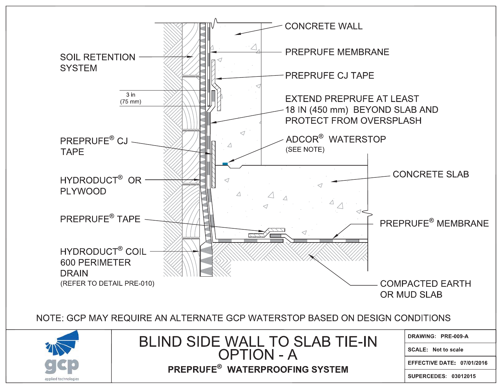

SUPERCEDES: 03012015